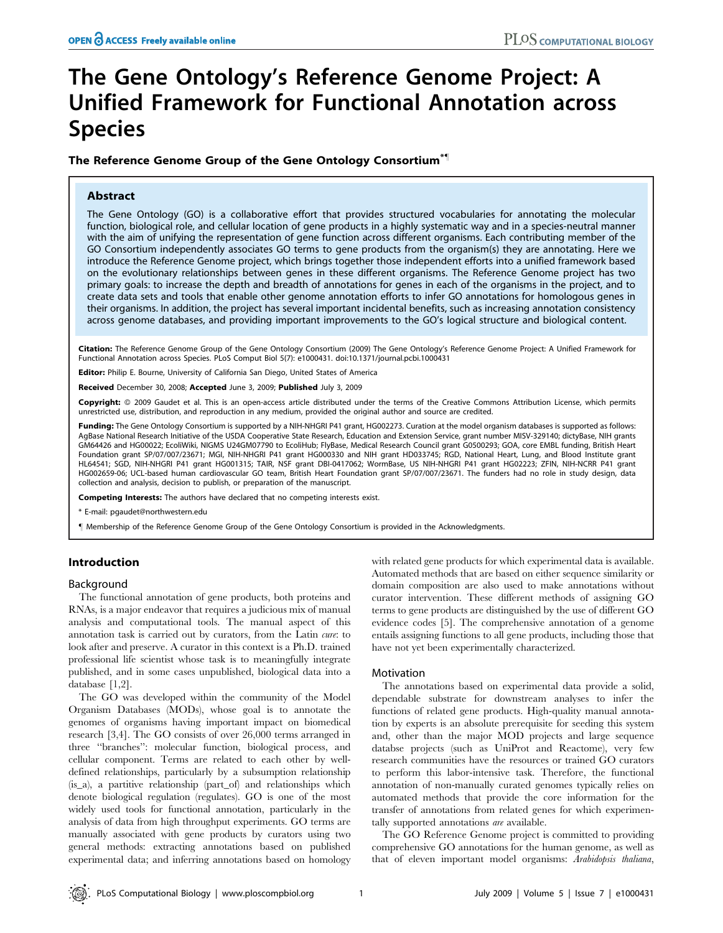# The Gene Ontology's Reference Genome Project: A Unified Framework for Functional Annotation across Species

# The Reference Genome Group of the Gene Ontology Consortium\*"

# Abstract

The Gene Ontology (GO) is a collaborative effort that provides structured vocabularies for annotating the molecular function, biological role, and cellular location of gene products in a highly systematic way and in a species-neutral manner with the aim of unifying the representation of gene function across different organisms. Each contributing member of the GO Consortium independently associates GO terms to gene products from the organism(s) they are annotating. Here we introduce the Reference Genome project, which brings together those independent efforts into a unified framework based on the evolutionary relationships between genes in these different organisms. The Reference Genome project has two primary goals: to increase the depth and breadth of annotations for genes in each of the organisms in the project, and to create data sets and tools that enable other genome annotation efforts to infer GO annotations for homologous genes in their organisms. In addition, the project has several important incidental benefits, such as increasing annotation consistency across genome databases, and providing important improvements to the GO's logical structure and biological content.

Citation: The Reference Genome Group of the Gene Ontology Consortium (2009) The Gene Ontology's Reference Genome Project: A Unified Framework for Functional Annotation across Species. PLoS Comput Biol 5(7): e1000431. doi:10.1371/journal.pcbi.1000431

Editor: Philip E. Bourne, University of California San Diego, United States of America

Received December 30, 2008; Accepted June 3, 2009; Published July 3, 2009

Copyright: © 2009 Gaudet et al. This is an open-access article distributed under the terms of the Creative Commons Attribution License, which permits unrestricted use, distribution, and reproduction in any medium, provided the original author and source are credited.

Funding: The Gene Ontology Consortium is supported by a NIH-NHGRI P41 grant, HG002273. Curation at the model organism databases is supported as follows: AgBase National Research Initiative of the USDA Cooperative State Research, Education and Extension Service, grant number MISV-329140; dictyBase, NIH grants GM64426 and HG00022; EcoliWiki, NIGMS U24GM07790 to EcoliHub; FlyBase, Medical Research Council grant G0500293; GOA, core EMBL funding, British Heart Foundation grant SP/07/007/23671; MGI, NIH-NHGRI P41 grant HG000330 and NIH grant HD033745; RGD, National Heart, Lung, and Blood Institute grant HL64541; SGD, NIH-NHGRI P41 grant HG001315; TAIR, NSF grant DBI-0417062; WormBase, US NIH-NHGRI P41 grant HG02223; ZFIN, NIH-NCRR P41 grant HG002659-06; UCL-based human cardiovascular GO team, British Heart Foundation grant SP/07/007/23671. The funders had no role in study design, data collection and analysis, decision to publish, or preparation of the manuscript.

Competing Interests: The authors have declared that no competing interests exist.

\* E-mail: pgaudet@northwestern.edu

" Membership of the Reference Genome Group of the Gene Ontology Consortium is provided in the Acknowledgments.

# Introduction

# Background

The functional annotation of gene products, both proteins and RNAs, is a major endeavor that requires a judicious mix of manual analysis and computational tools. The manual aspect of this annotation task is carried out by curators, from the Latin cure: to look after and preserve. A curator in this context is a Ph.D. trained professional life scientist whose task is to meaningfully integrate published, and in some cases unpublished, biological data into a database [1,2].

The GO was developed within the community of the Model Organism Databases (MODs), whose goal is to annotate the genomes of organisms having important impact on biomedical research [3,4]. The GO consists of over 26,000 terms arranged in three ''branches'': molecular function, biological process, and cellular component. Terms are related to each other by welldefined relationships, particularly by a subsumption relationship (is\_a), a partitive relationship (part\_of) and relationships which denote biological regulation (regulates). GO is one of the most widely used tools for functional annotation, particularly in the analysis of data from high throughput experiments. GO terms are manually associated with gene products by curators using two general methods: extracting annotations based on published experimental data; and inferring annotations based on homology

with related gene products for which experimental data is available. Automated methods that are based on either sequence similarity or domain composition are also used to make annotations without curator intervention. These different methods of assigning GO terms to gene products are distinguished by the use of different GO evidence codes [5]. The comprehensive annotation of a genome entails assigning functions to all gene products, including those that have not yet been experimentally characterized.

### Motivation

The annotations based on experimental data provide a solid, dependable substrate for downstream analyses to infer the functions of related gene products. High-quality manual annotation by experts is an absolute prerequisite for seeding this system and, other than the major MOD projects and large sequence databse projects (such as UniProt and Reactome), very few research communities have the resources or trained GO curators to perform this labor-intensive task. Therefore, the functional annotation of non-manually curated genomes typically relies on automated methods that provide the core information for the transfer of annotations from related genes for which experimentally supported annotations are available.

The GO Reference Genome project is committed to providing comprehensive GO annotations for the human genome, as well as that of eleven important model organisms: Arabidopsis thaliana,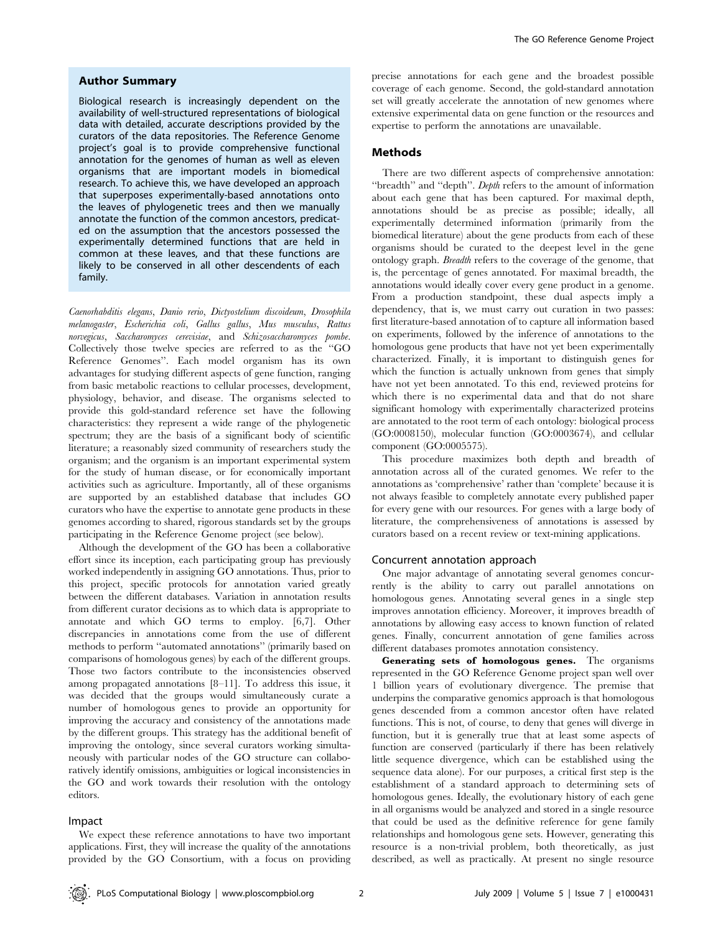## Author Summary

Biological research is increasingly dependent on the availability of well-structured representations of biological data with detailed, accurate descriptions provided by the curators of the data repositories. The Reference Genome project's goal is to provide comprehensive functional annotation for the genomes of human as well as eleven organisms that are important models in biomedical research. To achieve this, we have developed an approach that superposes experimentally-based annotations onto the leaves of phylogenetic trees and then we manually annotate the function of the common ancestors, predicated on the assumption that the ancestors possessed the experimentally determined functions that are held in common at these leaves, and that these functions are likely to be conserved in all other descendents of each family.

Caenorhabditis elegans, Danio rerio, Dictyostelium discoideum, Drosophila melanogaster, Escherichia coli, Gallus gallus, Mus musculus, Rattus norvegicus, Saccharomyces cerevisiae, and Schizosaccharomyces pombe. Collectively those twelve species are referred to as the ''GO Reference Genomes''. Each model organism has its own advantages for studying different aspects of gene function, ranging from basic metabolic reactions to cellular processes, development, physiology, behavior, and disease. The organisms selected to provide this gold-standard reference set have the following characteristics: they represent a wide range of the phylogenetic spectrum; they are the basis of a significant body of scientific literature; a reasonably sized community of researchers study the organism; and the organism is an important experimental system for the study of human disease, or for economically important activities such as agriculture. Importantly, all of these organisms are supported by an established database that includes GO curators who have the expertise to annotate gene products in these genomes according to shared, rigorous standards set by the groups participating in the Reference Genome project (see below).

Although the development of the GO has been a collaborative effort since its inception, each participating group has previously worked independently in assigning GO annotations. Thus, prior to this project, specific protocols for annotation varied greatly between the different databases. Variation in annotation results from different curator decisions as to which data is appropriate to annotate and which GO terms to employ. [6,7]. Other discrepancies in annotations come from the use of different methods to perform ''automated annotations'' (primarily based on comparisons of homologous genes) by each of the different groups. Those two factors contribute to the inconsistencies observed among propagated annotations [8–11]. To address this issue, it was decided that the groups would simultaneously curate a number of homologous genes to provide an opportunity for improving the accuracy and consistency of the annotations made by the different groups. This strategy has the additional benefit of improving the ontology, since several curators working simultaneously with particular nodes of the GO structure can collaboratively identify omissions, ambiguities or logical inconsistencies in the GO and work towards their resolution with the ontology editors.

## Impact

We expect these reference annotations to have two important applications. First, they will increase the quality of the annotations provided by the GO Consortium, with a focus on providing precise annotations for each gene and the broadest possible coverage of each genome. Second, the gold-standard annotation set will greatly accelerate the annotation of new genomes where extensive experimental data on gene function or the resources and expertise to perform the annotations are unavailable.

# Methods

There are two different aspects of comprehensive annotation: ''breadth'' and ''depth''. Depth refers to the amount of information about each gene that has been captured. For maximal depth, annotations should be as precise as possible; ideally, all experimentally determined information (primarily from the biomedical literature) about the gene products from each of these organisms should be curated to the deepest level in the gene ontology graph. Breadth refers to the coverage of the genome, that is, the percentage of genes annotated. For maximal breadth, the annotations would ideally cover every gene product in a genome. From a production standpoint, these dual aspects imply a dependency, that is, we must carry out curation in two passes: first literature-based annotation of to capture all information based on experiments, followed by the inference of annotations to the homologous gene products that have not yet been experimentally characterized. Finally, it is important to distinguish genes for which the function is actually unknown from genes that simply have not yet been annotated. To this end, reviewed proteins for which there is no experimental data and that do not share significant homology with experimentally characterized proteins are annotated to the root term of each ontology: biological process (GO:0008150), molecular function (GO:0003674), and cellular component (GO:0005575).

This procedure maximizes both depth and breadth of annotation across all of the curated genomes. We refer to the annotations as 'comprehensive' rather than 'complete' because it is not always feasible to completely annotate every published paper for every gene with our resources. For genes with a large body of literature, the comprehensiveness of annotations is assessed by curators based on a recent review or text-mining applications.

### Concurrent annotation approach

One major advantage of annotating several genomes concurrently is the ability to carry out parallel annotations on homologous genes. Annotating several genes in a single step improves annotation efficiency. Moreover, it improves breadth of annotations by allowing easy access to known function of related genes. Finally, concurrent annotation of gene families across different databases promotes annotation consistency.

Generating sets of homologous genes. The organisms represented in the GO Reference Genome project span well over 1 billion years of evolutionary divergence. The premise that underpins the comparative genomics approach is that homologous genes descended from a common ancestor often have related functions. This is not, of course, to deny that genes will diverge in function, but it is generally true that at least some aspects of function are conserved (particularly if there has been relatively little sequence divergence, which can be established using the sequence data alone). For our purposes, a critical first step is the establishment of a standard approach to determining sets of homologous genes. Ideally, the evolutionary history of each gene in all organisms would be analyzed and stored in a single resource that could be used as the definitive reference for gene family relationships and homologous gene sets. However, generating this resource is a non-trivial problem, both theoretically, as just described, as well as practically. At present no single resource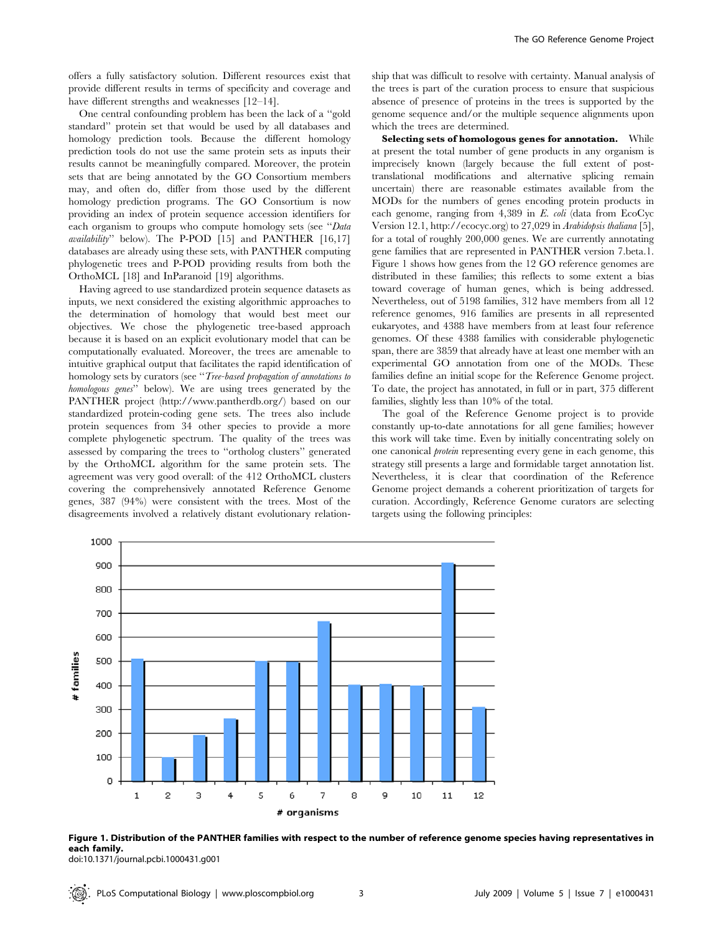offers a fully satisfactory solution. Different resources exist that provide different results in terms of specificity and coverage and have different strengths and weaknesses [12–14].

One central confounding problem has been the lack of a ''gold standard'' protein set that would be used by all databases and homology prediction tools. Because the different homology prediction tools do not use the same protein sets as inputs their results cannot be meaningfully compared. Moreover, the protein sets that are being annotated by the GO Consortium members may, and often do, differ from those used by the different homology prediction programs. The GO Consortium is now providing an index of protein sequence accession identifiers for each organism to groups who compute homology sets (see "Data") availability'' below). The P-POD [15] and PANTHER [16,17] databases are already using these sets, with PANTHER computing phylogenetic trees and P-POD providing results from both the OrthoMCL [18] and InParanoid [19] algorithms.

Having agreed to use standardized protein sequence datasets as inputs, we next considered the existing algorithmic approaches to the determination of homology that would best meet our objectives. We chose the phylogenetic tree-based approach because it is based on an explicit evolutionary model that can be computationally evaluated. Moreover, the trees are amenable to intuitive graphical output that facilitates the rapid identification of homology sets by curators (see "*Tree-based propagation of annotations to* homologous genes'' below). We are using trees generated by the PANTHER project (http://www.pantherdb.org/) based on our standardized protein-coding gene sets. The trees also include protein sequences from 34 other species to provide a more complete phylogenetic spectrum. The quality of the trees was assessed by comparing the trees to ''ortholog clusters'' generated by the OrthoMCL algorithm for the same protein sets. The agreement was very good overall: of the 412 OrthoMCL clusters covering the comprehensively annotated Reference Genome genes, 387 (94%) were consistent with the trees. Most of the disagreements involved a relatively distant evolutionary relationship that was difficult to resolve with certainty. Manual analysis of the trees is part of the curation process to ensure that suspicious absence of presence of proteins in the trees is supported by the genome sequence and/or the multiple sequence alignments upon which the trees are determined.

Selecting sets of homologous genes for annotation. While at present the total number of gene products in any organism is imprecisely known (largely because the full extent of posttranslational modifications and alternative splicing remain uncertain) there are reasonable estimates available from the MODs for the numbers of genes encoding protein products in each genome, ranging from 4,389 in E. coli (data from EcoCyc Version 12.1, http://ecocyc.org) to 27,029 in Arabidopsis thaliana [5], for a total of roughly 200,000 genes. We are currently annotating gene families that are represented in PANTHER version 7.beta.1. Figure 1 shows how genes from the 12 GO reference genomes are distributed in these families; this reflects to some extent a bias toward coverage of human genes, which is being addressed. Nevertheless, out of 5198 families, 312 have members from all 12 reference genomes, 916 families are presents in all represented eukaryotes, and 4388 have members from at least four reference genomes. Of these 4388 families with considerable phylogenetic span, there are 3859 that already have at least one member with an experimental GO annotation from one of the MODs. These families define an initial scope for the Reference Genome project. To date, the project has annotated, in full or in part, 375 different families, slightly less than 10% of the total.

The goal of the Reference Genome project is to provide constantly up-to-date annotations for all gene families; however this work will take time. Even by initially concentrating solely on one canonical protein representing every gene in each genome, this strategy still presents a large and formidable target annotation list. Nevertheless, it is clear that coordination of the Reference Genome project demands a coherent prioritization of targets for curation. Accordingly, Reference Genome curators are selecting targets using the following principles:



Figure 1. Distribution of the PANTHER families with respect to the number of reference genome species having representatives in each family. doi:10.1371/journal.pcbi.1000431.g001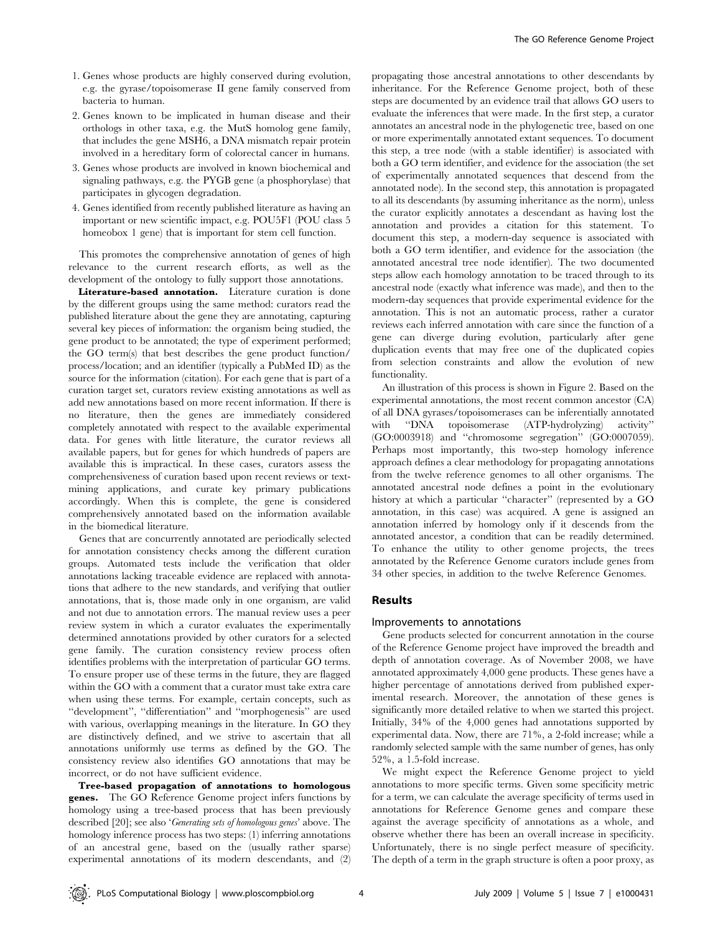- 1. Genes whose products are highly conserved during evolution, e.g. the gyrase/topoisomerase II gene family conserved from bacteria to human.
- 2. Genes known to be implicated in human disease and their orthologs in other taxa, e.g. the MutS homolog gene family, that includes the gene MSH6, a DNA mismatch repair protein involved in a hereditary form of colorectal cancer in humans.
- 3. Genes whose products are involved in known biochemical and signaling pathways, e.g. the PYGB gene (a phosphorylase) that participates in glycogen degradation.
- 4. Genes identified from recently published literature as having an important or new scientific impact, e.g. POU5F1 (POU class 5 homeobox 1 gene) that is important for stem cell function.

This promotes the comprehensive annotation of genes of high relevance to the current research efforts, as well as the development of the ontology to fully support those annotations.

Literature-based annotation. Literature curation is done by the different groups using the same method: curators read the published literature about the gene they are annotating, capturing several key pieces of information: the organism being studied, the gene product to be annotated; the type of experiment performed; the GO term(s) that best describes the gene product function/ process/location; and an identifier (typically a PubMed ID) as the source for the information (citation). For each gene that is part of a curation target set, curators review existing annotations as well as add new annotations based on more recent information. If there is no literature, then the genes are immediately considered completely annotated with respect to the available experimental data. For genes with little literature, the curator reviews all available papers, but for genes for which hundreds of papers are available this is impractical. In these cases, curators assess the comprehensiveness of curation based upon recent reviews or textmining applications, and curate key primary publications accordingly. When this is complete, the gene is considered comprehensively annotated based on the information available in the biomedical literature.

Genes that are concurrently annotated are periodically selected for annotation consistency checks among the different curation groups. Automated tests include the verification that older annotations lacking traceable evidence are replaced with annotations that adhere to the new standards, and verifying that outlier annotations, that is, those made only in one organism, are valid and not due to annotation errors. The manual review uses a peer review system in which a curator evaluates the experimentally determined annotations provided by other curators for a selected gene family. The curation consistency review process often identifies problems with the interpretation of particular GO terms. To ensure proper use of these terms in the future, they are flagged within the GO with a comment that a curator must take extra care when using these terms. For example, certain concepts, such as ''development'', ''differentiation'' and ''morphogenesis'' are used with various, overlapping meanings in the literature. In GO they are distinctively defined, and we strive to ascertain that all annotations uniformly use terms as defined by the GO. The consistency review also identifies GO annotations that may be incorrect, or do not have sufficient evidence.

Tree-based propagation of annotations to homologous genes. The GO Reference Genome project infers functions by homology using a tree-based process that has been previously described [20]; see also 'Generating sets of homologous genes' above. The homology inference process has two steps: (1) inferring annotations of an ancestral gene, based on the (usually rather sparse) experimental annotations of its modern descendants, and (2)

propagating those ancestral annotations to other descendants by inheritance. For the Reference Genome project, both of these steps are documented by an evidence trail that allows GO users to evaluate the inferences that were made. In the first step, a curator annotates an ancestral node in the phylogenetic tree, based on one or more experimentally annotated extant sequences. To document this step, a tree node (with a stable identifier) is associated with both a GO term identifier, and evidence for the association (the set of experimentally annotated sequences that descend from the annotated node). In the second step, this annotation is propagated to all its descendants (by assuming inheritance as the norm), unless the curator explicitly annotates a descendant as having lost the annotation and provides a citation for this statement. To document this step, a modern-day sequence is associated with both a GO term identifier, and evidence for the association (the annotated ancestral tree node identifier). The two documented steps allow each homology annotation to be traced through to its ancestral node (exactly what inference was made), and then to the modern-day sequences that provide experimental evidence for the annotation. This is not an automatic process, rather a curator reviews each inferred annotation with care since the function of a gene can diverge during evolution, particularly after gene duplication events that may free one of the duplicated copies from selection constraints and allow the evolution of new functionality.

An illustration of this process is shown in Figure 2. Based on the experimental annotations, the most recent common ancestor (CA) of all DNA gyrases/topoisomerases can be inferentially annotated with ''DNA topoisomerase (ATP-hydrolyzing) activity'' (GO:0003918) and ''chromosome segregation'' (GO:0007059). Perhaps most importantly, this two-step homology inference approach defines a clear methodology for propagating annotations from the twelve reference genomes to all other organisms. The annotated ancestral node defines a point in the evolutionary history at which a particular ''character'' (represented by a GO annotation, in this case) was acquired. A gene is assigned an annotation inferred by homology only if it descends from the annotated ancestor, a condition that can be readily determined. To enhance the utility to other genome projects, the trees annotated by the Reference Genome curators include genes from 34 other species, in addition to the twelve Reference Genomes.

# Results

## Improvements to annotations

Gene products selected for concurrent annotation in the course of the Reference Genome project have improved the breadth and depth of annotation coverage. As of November 2008, we have annotated approximately 4,000 gene products. These genes have a higher percentage of annotations derived from published experimental research. Moreover, the annotation of these genes is significantly more detailed relative to when we started this project. Initially, 34% of the 4,000 genes had annotations supported by experimental data. Now, there are 71%, a 2-fold increase; while a randomly selected sample with the same number of genes, has only 52%, a 1.5-fold increase.

We might expect the Reference Genome project to yield annotations to more specific terms. Given some specificity metric for a term, we can calculate the average specificity of terms used in annotations for Reference Genome genes and compare these against the average specificity of annotations as a whole, and observe whether there has been an overall increase in specificity. Unfortunately, there is no single perfect measure of specificity. The depth of a term in the graph structure is often a poor proxy, as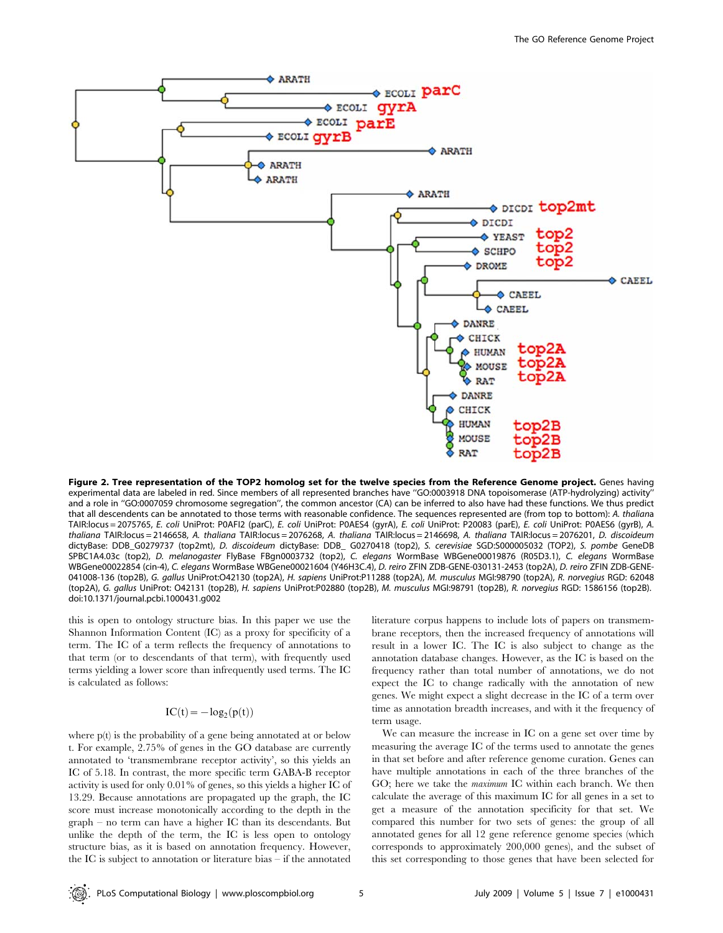

Figure 2. Tree representation of the TOP2 homolog set for the twelve species from the Reference Genome project. Genes having experimental data are labeled in red. Since members of all represented branches have ''GO:0003918 DNA topoisomerase (ATP-hydrolyzing) activity'' and a role in ''GO:0007059 chromosome segregation'', the common ancestor (CA) can be inferred to also have had these functions. We thus predict that all descendents can be annotated to those terms with reasonable confidence. The sequences represented are (from top to bottom): A. thaliana TAIR:locus = 2075765, E. coli UniProt: P0AFI2 (parC), E. coli UniProt: P0AES4 (gyrA), E. coli UniProt: P20083 (parE), E. coli UniProt: P0AES6 (gyrB), A. thaliana TAIR:locus = 2146658, A. thaliana TAIR:locus = 2076268, A. thaliana TAIR:locus = 2146698, A. thaliana TAIR:locus = 2076201, D. discoideum dictyBase: DDB\_G0279737 (top2mt), D. discoideum dictyBase: DDB\_ G0270418 (top2), S. cerevisiae SGD:S000005032 (TOP2), S. pombe GeneDB SPBC1A4.03c (top2), D. melanogaster FlyBase FBgn0003732 (top2), C. elegans WormBase WBGene00019876 (R05D3.1), C. elegans WormBase WBGene00022854 (cin-4), C. elegans WormBase WBGene00021604 (Y46H3C.4), D. reiro ZFIN ZDB-GENE-030131-2453 (top2A), D. reiro ZFIN ZDB-GENE-041008-136 (top2B), G. gallus UniProt:O42130 (top2A), H. sapiens UniProt:P11288 (top2A), M. musculus MGI:98790 (top2A), R. norvegius RGD: 62048 (top2A), G. gallus UniProt: O42131 (top2B), H. sapiens UniProt:P02880 (top2B), M. musculus MGI:98791 (top2B), R. norvegius RGD: 1586156 (top2B). doi:10.1371/journal.pcbi.1000431.g002

this is open to ontology structure bias. In this paper we use the Shannon Information Content (IC) as a proxy for specificity of a term. The IC of a term reflects the frequency of annotations to that term (or to descendants of that term), with frequently used terms yielding a lower score than infrequently used terms. The IC is calculated as follows:

# $IC(t) = -log_2(p(t))$

where  $p(t)$  is the probability of a gene being annotated at or below t. For example, 2.75% of genes in the GO database are currently annotated to 'transmembrane receptor activity', so this yields an IC of 5.18. In contrast, the more specific term GABA-B receptor activity is used for only 0.01% of genes, so this yields a higher IC of 13.29. Because annotations are propagated up the graph, the IC score must increase monotonically according to the depth in the graph – no term can have a higher IC than its descendants. But unlike the depth of the term, the IC is less open to ontology structure bias, as it is based on annotation frequency. However, the IC is subject to annotation or literature bias – if the annotated literature corpus happens to include lots of papers on transmembrane receptors, then the increased frequency of annotations will result in a lower IC. The IC is also subject to change as the annotation database changes. However, as the IC is based on the frequency rather than total number of annotations, we do not expect the IC to change radically with the annotation of new genes. We might expect a slight decrease in the IC of a term over time as annotation breadth increases, and with it the frequency of term usage.

We can measure the increase in IC on a gene set over time by measuring the average IC of the terms used to annotate the genes in that set before and after reference genome curation. Genes can have multiple annotations in each of the three branches of the GO; here we take the *maximum* IC within each branch. We then calculate the average of this maximum IC for all genes in a set to get a measure of the annotation specificity for that set. We compared this number for two sets of genes: the group of all annotated genes for all 12 gene reference genome species (which corresponds to approximately 200,000 genes), and the subset of this set corresponding to those genes that have been selected for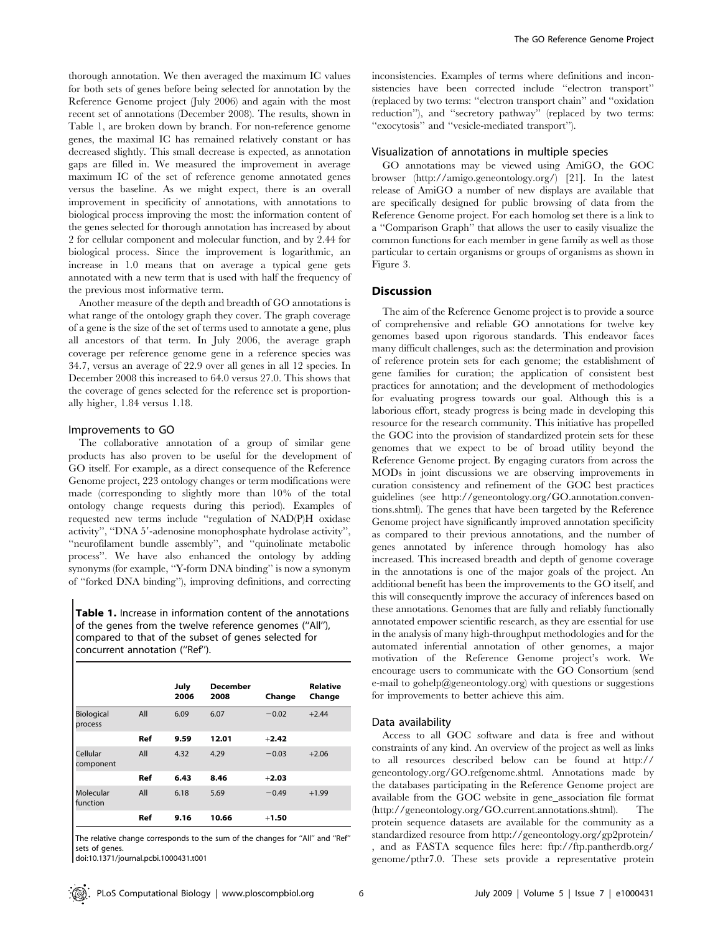thorough annotation. We then averaged the maximum IC values for both sets of genes before being selected for annotation by the Reference Genome project (July 2006) and again with the most recent set of annotations (December 2008). The results, shown in Table 1, are broken down by branch. For non-reference genome genes, the maximal IC has remained relatively constant or has decreased slightly. This small decrease is expected, as annotation gaps are filled in. We measured the improvement in average maximum IC of the set of reference genome annotated genes versus the baseline. As we might expect, there is an overall improvement in specificity of annotations, with annotations to biological process improving the most: the information content of the genes selected for thorough annotation has increased by about 2 for cellular component and molecular function, and by 2.44 for biological process. Since the improvement is logarithmic, an increase in 1.0 means that on average a typical gene gets annotated with a new term that is used with half the frequency of the previous most informative term.

Another measure of the depth and breadth of GO annotations is what range of the ontology graph they cover. The graph coverage of a gene is the size of the set of terms used to annotate a gene, plus all ancestors of that term. In July 2006, the average graph coverage per reference genome gene in a reference species was 34.7, versus an average of 22.9 over all genes in all 12 species. In December 2008 this increased to 64.0 versus 27.0. This shows that the coverage of genes selected for the reference set is proportionally higher, 1.84 versus 1.18.

#### Improvements to GO

The collaborative annotation of a group of similar gene products has also proven to be useful for the development of GO itself. For example, as a direct consequence of the Reference Genome project, 223 ontology changes or term modifications were made (corresponding to slightly more than 10% of the total ontology change requests during this period). Examples of requested new terms include ''regulation of NAD(P)H oxidase activity", "DNA 5'-adenosine monophosphate hydrolase activity", ''neurofilament bundle assembly'', and ''quinolinate metabolic process''. We have also enhanced the ontology by adding synonyms (for example, ''Y-form DNA binding'' is now a synonym of ''forked DNA binding''), improving definitions, and correcting

Table 1. Increase in information content of the annotations of the genes from the twelve reference genomes (''All''), compared to that of the subset of genes selected for concurrent annotation (''Ref'').

|                              |     | July<br>2006 | <b>December</b><br>2008 | Change  | <b>Relative</b><br>Change |
|------------------------------|-----|--------------|-------------------------|---------|---------------------------|
| <b>Biological</b><br>process | All | 6.09         | 6.07                    | $-0.02$ | $+2.44$                   |
|                              | Ref | 9.59         | 12.01                   | $+2.42$ |                           |
| Cellular<br>component        | All | 4.32         | 4.29                    | $-0.03$ | $+2.06$                   |
|                              | Ref | 6.43         | 8.46                    | $+2.03$ |                           |
| Molecular<br>function        | All | 6.18         | 5.69                    | $-0.49$ | $+1.99$                   |
|                              | Ref | 9.16         | 10.66                   | $+1.50$ |                           |

The relative change corresponds to the sum of the changes for ''All'' and ''Ref'' sets of genes.

doi:10.1371/journal.pcbi.1000431.t001

inconsistencies. Examples of terms where definitions and inconsistencies have been corrected include ''electron transport'' (replaced by two terms: ''electron transport chain'' and ''oxidation reduction''), and ''secretory pathway'' (replaced by two terms: ''exocytosis'' and ''vesicle-mediated transport'').

#### Visualization of annotations in multiple species

GO annotations may be viewed using AmiGO, the GOC browser (http://amigo.geneontology.org/) [21]. In the latest release of AmiGO a number of new displays are available that are specifically designed for public browsing of data from the Reference Genome project. For each homolog set there is a link to a ''Comparison Graph'' that allows the user to easily visualize the common functions for each member in gene family as well as those particular to certain organisms or groups of organisms as shown in Figure 3.

#### **Discussion**

The aim of the Reference Genome project is to provide a source of comprehensive and reliable GO annotations for twelve key genomes based upon rigorous standards. This endeavor faces many difficult challenges, such as: the determination and provision of reference protein sets for each genome; the establishment of gene families for curation; the application of consistent best practices for annotation; and the development of methodologies for evaluating progress towards our goal. Although this is a laborious effort, steady progress is being made in developing this resource for the research community. This initiative has propelled the GOC into the provision of standardized protein sets for these genomes that we expect to be of broad utility beyond the Reference Genome project. By engaging curators from across the MODs in joint discussions we are observing improvements in curation consistency and refinement of the GOC best practices guidelines (see http://geneontology.org/GO.annotation.conventions.shtml). The genes that have been targeted by the Reference Genome project have significantly improved annotation specificity as compared to their previous annotations, and the number of genes annotated by inference through homology has also increased. This increased breadth and depth of genome coverage in the annotations is one of the major goals of the project. An additional benefit has been the improvements to the GO itself, and this will consequently improve the accuracy of inferences based on these annotations. Genomes that are fully and reliably functionally annotated empower scientific research, as they are essential for use in the analysis of many high-throughput methodologies and for the automated inferential annotation of other genomes, a major motivation of the Reference Genome project's work. We encourage users to communicate with the GO Consortium (send e-mail to gohelp@geneontology.org) with questions or suggestions for improvements to better achieve this aim.

## Data availability

Access to all GOC software and data is free and without constraints of any kind. An overview of the project as well as links to all resources described below can be found at http:// geneontology.org/GO.refgenome.shtml. Annotations made by the databases participating in the Reference Genome project are available from the GOC website in gene\_association file format (http://geneontology.org/GO.current.annotations.shtml). The protein sequence datasets are available for the community as a standardized resource from http://geneontology.org/gp2protein/ , and as FASTA sequence files here: ftp://ftp.pantherdb.org/ genome/pthr7.0. These sets provide a representative protein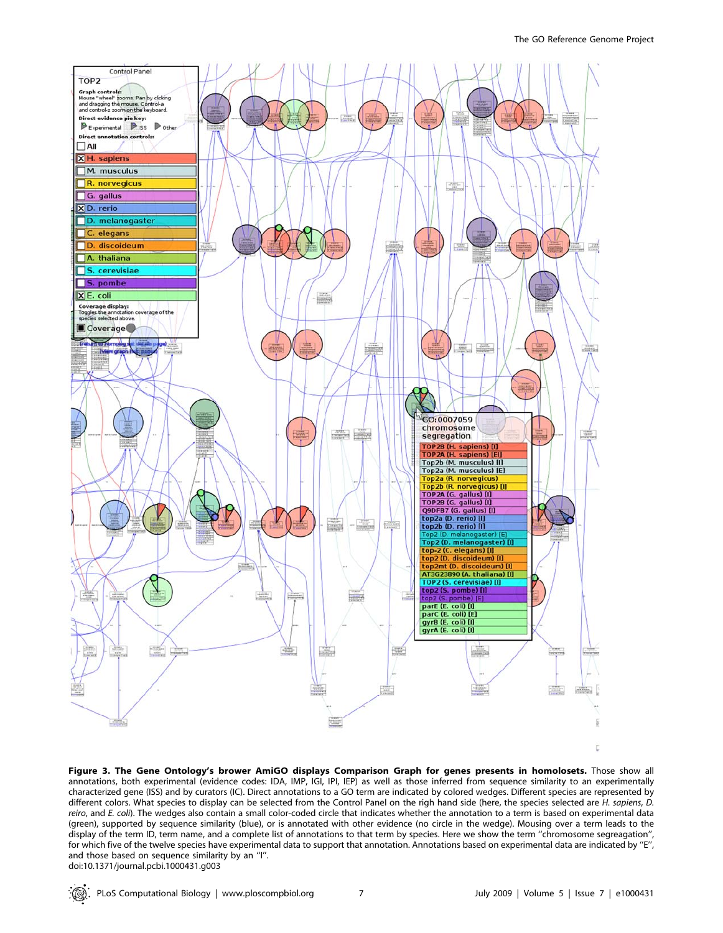

Figure 3. The Gene Ontology's brower AmiGO displays Comparison Graph for genes presents in homolosets. Those show all annotations, both experimental (evidence codes: IDA, IMP, IGI, IPI, IEP) as well as those inferred from sequence similarity to an experimentally characterized gene (ISS) and by curators (IC). Direct annotations to a GO term are indicated by colored wedges. Different species are represented by different colors. What species to display can be selected from the Control Panel on the righ hand side (here, the species selected are *H. sapiens*, *D.* reiro, and E. coli). The wedges also contain a small color-coded circle that indicates whether the annotation to a term is based on experimental data (green), supported by sequence similarity (blue), or is annotated with other evidence (no circle in the wedge). Mousing over a term leads to the display of the term ID, term name, and a complete list of annotations to that term by species. Here we show the term ''chromosome segreagation'', for which five of the twelve species have experimental data to support that annotation. Annotations based on experimental data are indicated by ''E'', and those based on sequence similarity by an ''I''. doi:10.1371/journal.pcbi.1000431.g003